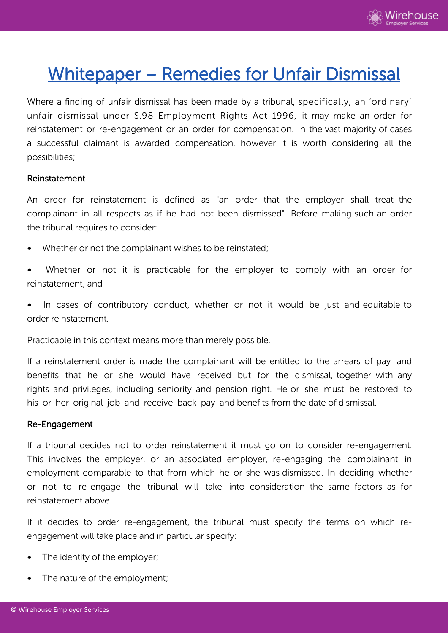

# Whitepaper – Remedies for Unfair Dismissal

Where a finding of unfair dismissal has been made by a tribunal, specifically, an 'ordinary' unfair dismissal under S.98 Employment Rights Act 1996, it may make an order for reinstatement or re-engagement or an order for compensation. In the vast majority of cases a successful claimant is awarded compensation, however it is worth considering all the possibilities;

#### Reinstatement

An order for reinstatement is defined as "an order that the employer shall treat the complainant in all respects as if he had not been dismissed". Before making such an order the tribunal requires to consider:

- Whether or not the complainant wishes to be reinstated;
- Whether or not it is practicable for the employer to comply with an order for reinstatement; and
- In cases of contributory conduct, whether or not it would be just and equitable to order reinstatement.

Practicable in this context means more than merely possible.

If a reinstatement order is made the complainant will be entitled to the arrears of pay and benefits that he or she would have received but for the dismissal, together with any rights and privileges, including seniority and pension right. He or she must be restored to his or her original job and receive back pay and benefits from the date of dismissal.

#### Re-Engagement

If a tribunal decides not to order reinstatement it must go on to consider re-engagement. This involves the employer, or an associated employer, re-engaging the complainant in employment comparable to that from which he or she was dismissed. In deciding whether or not to re-engage the tribunal will take into consideration the same factors as for reinstatement above.

If it decides to order re-engagement, the tribunal must specify the terms on which reengagement will take place and in particular specify:

- The identity of the employer;
- The nature of the employment;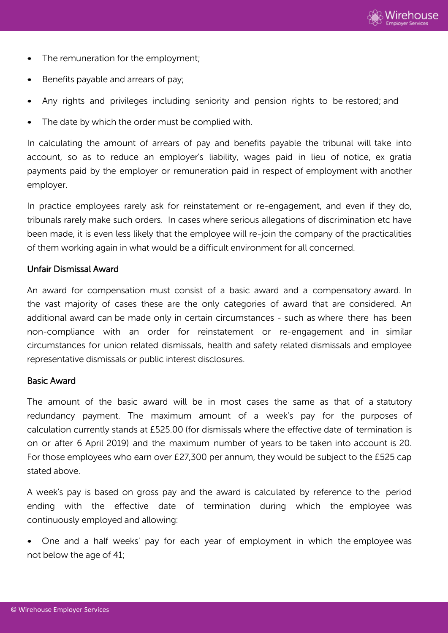

- The remuneration for the employment;
- Benefits payable and arrears of pay:
- Any rights and privileges including seniority and pension rights to be restored; and
- The date by which the order must be complied with.

In calculating the amount of arrears of pay and benefits payable the tribunal will take into account, so as to reduce an employer's liability, wages paid in lieu of notice, ex gratia payments paid by the employer or remuneration paid in respect of employment with another employer.

In practice employees rarely ask for reinstatement or re-engagement, and even if they do, tribunals rarely make such orders. In cases where serious allegations of discrimination etc have been made, it is even less likely that the employee will re-join the company of the practicalities of them working again in what would be a difficult environment for all concerned.

#### Unfair Dismissal Award

An award for compensation must consist of a basic award and a compensatory award. In the vast majority of cases these are the only categories of award that are considered. An additional award can be made only in certain circumstances - such as where there has been non-compliance with an order for reinstatement or re-engagement and in similar circumstances for union related dismissals, health and safety related dismissals and employee representative dismissals or public interest disclosures.

#### Basic Award

The amount of the basic award will be in most cases the same as that of a statutory redundancy payment. The maximum amount of a week's pay for the purposes of calculation currently stands at £525.00 (for dismissals where the effective date of termination is on or after 6 April 2019) and the maximum number of years to be taken into account is 20. For those employees who earn over £27,300 per annum, they would be subject to the £525 cap stated above.

A week's pay is based on gross pay and the award is calculated by reference to the period ending with the effective date of termination during which the employee was continuously employed and allowing:

• One and a half weeks' pay for each year of employment in which the employee was not below the age of 41;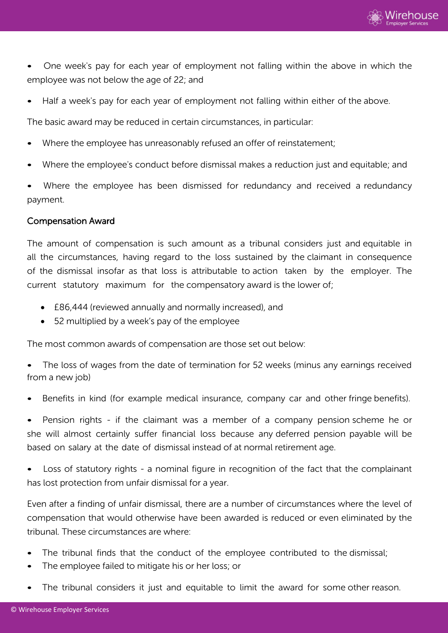

• One week's pay for each year of employment not falling within the above in which the employee was not below the age of 22; and

Half a week's pay for each year of employment not falling within either of the above.

The basic award may be reduced in certain circumstances, in particular:

- Where the employee has unreasonably refused an offer of reinstatement;
- Where the employee's conduct before dismissal makes a reduction just and equitable; and

Where the employee has been dismissed for redundancy and received a redundancy payment.

#### Compensation Award

The amount of compensation is such amount as a tribunal considers just and equitable in all the circumstances, having regard to the loss sustained by the claimant in consequence of the dismissal insofar as that loss is attributable to action taken by the employer. The current statutory maximum for the compensatory award is the lower of;

- £86,444 (reviewed annually and normally increased), and
- 52 multiplied by a week's pay of the employee

The most common awards of compensation are those set out below:

The loss of wages from the date of termination for 52 weeks (minus any earnings received from a new job)

• Benefits in kind (for example medical insurance, company car and other fringe benefits).

• Pension rights - if the claimant was a member of a company pension scheme he or she will almost certainly suffer financial loss because any deferred pension payable will be based on salary at the date of dismissal instead of at normal retirement age.

Loss of statutory rights - a nominal figure in recognition of the fact that the complainant has lost protection from unfair dismissal for a year.

Even after a finding of unfair dismissal, there are a number of circumstances where the level of compensation that would otherwise have been awarded is reduced or even eliminated by the tribunal. These circumstances are where:

- The tribunal finds that the conduct of the employee contributed to the dismissal;
- The employee failed to mitigate his or her loss; or
- The tribunal considers it just and equitable to limit the award for some other reason.